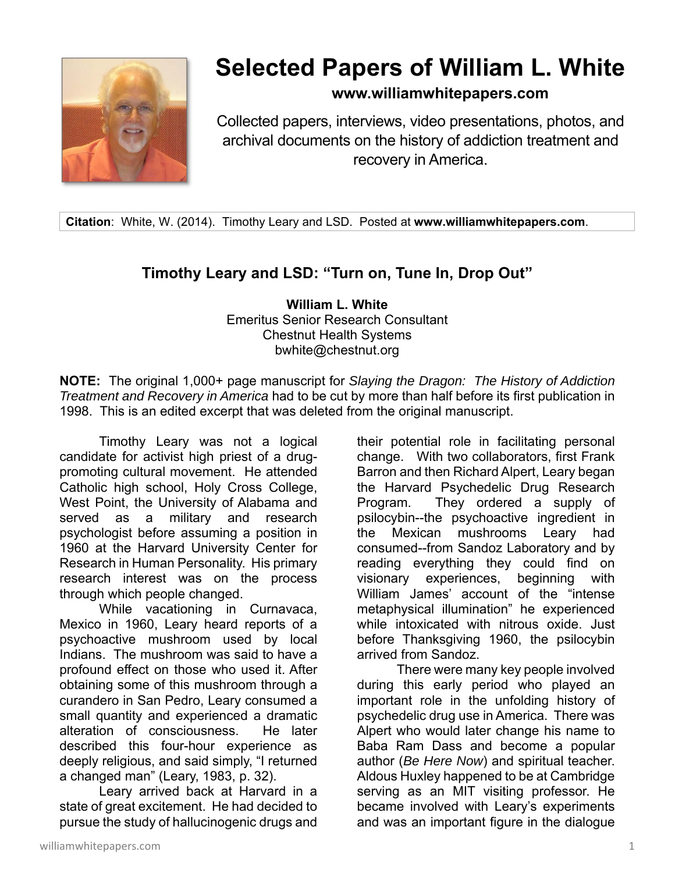

## **Selected Papers of William L. White**

## **www.williamwhitepapers.com**

Collected papers, interviews, video presentations, photos, and archival documents on the history of addiction treatment and recovery in America.

**Citation**: White, W. (2014). Timothy Leary and LSD. Posted at **www.williamwhitepapers.com**.

## **Timothy Leary and LSD: "Turn on, Tune In, Drop Out"**

**William L. White**  Emeritus Senior Research Consultant Chestnut Health Systems bwhite@chestnut.org

**NOTE:** The original 1,000+ page manuscript for *Slaying the Dragon: The History of Addiction Treatment and Recovery in America* had to be cut by more than half before its first publication in 1998. This is an edited excerpt that was deleted from the original manuscript.

Timothy Leary was not a logical candidate for activist high priest of a drugpromoting cultural movement. He attended Catholic high school, Holy Cross College, West Point, the University of Alabama and served as a military and research psychologist before assuming a position in 1960 at the Harvard University Center for Research in Human Personality. His primary research interest was on the process through which people changed.

While vacationing in Curnavaca, Mexico in 1960, Leary heard reports of a psychoactive mushroom used by local Indians. The mushroom was said to have a profound effect on those who used it. After obtaining some of this mushroom through a curandero in San Pedro, Leary consumed a small quantity and experienced a dramatic alteration of consciousness. He later described this four-hour experience as deeply religious, and said simply, "I returned a changed man" (Leary, 1983, p. 32).

Leary arrived back at Harvard in a state of great excitement. He had decided to pursue the study of hallucinogenic drugs and their potential role in facilitating personal change. With two collaborators, first Frank Barron and then Richard Alpert, Leary began the Harvard Psychedelic Drug Research Program. They ordered a supply of psilocybin--the psychoactive ingredient in the Mexican mushrooms Leary had consumed--from Sandoz Laboratory and by reading everything they could find on visionary experiences, beginning with William James' account of the "intense metaphysical illumination" he experienced while intoxicated with nitrous oxide. Just before Thanksgiving 1960, the psilocybin arrived from Sandoz.

There were many key people involved during this early period who played an important role in the unfolding history of psychedelic drug use in America. There was Alpert who would later change his name to Baba Ram Dass and become a popular author (*Be Here Now*) and spiritual teacher. Aldous Huxley happened to be at Cambridge serving as an MIT visiting professor. He became involved with Leary's experiments and was an important figure in the dialogue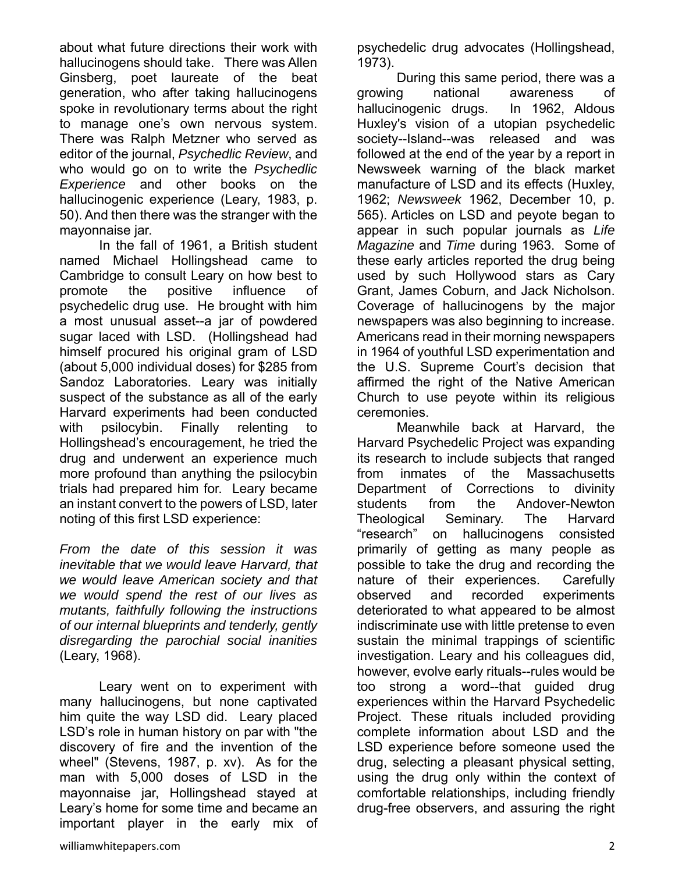about what future directions their work with hallucinogens should take. There was Allen Ginsberg, poet laureate of the beat generation, who after taking hallucinogens spoke in revolutionary terms about the right to manage one's own nervous system. There was Ralph Metzner who served as editor of the journal, *Psychedlic Review*, and who would go on to write the *Psychedlic Experience* and other books on the hallucinogenic experience (Leary, 1983, p. 50). And then there was the stranger with the mayonnaise jar.

In the fall of 1961, a British student named Michael Hollingshead came to Cambridge to consult Leary on how best to promote the positive influence of psychedelic drug use. He brought with him a most unusual asset--a jar of powdered sugar laced with LSD. (Hollingshead had himself procured his original gram of LSD (about 5,000 individual doses) for \$285 from Sandoz Laboratories. Leary was initially suspect of the substance as all of the early Harvard experiments had been conducted with psilocybin. Finally relenting to Hollingshead's encouragement, he tried the drug and underwent an experience much more profound than anything the psilocybin trials had prepared him for. Leary became an instant convert to the powers of LSD, later noting of this first LSD experience:

*From the date of this session it was inevitable that we would leave Harvard, that we would leave American society and that we would spend the rest of our lives as mutants, faithfully following the instructions of our internal blueprints and tenderly, gently disregarding the parochial social inanities* (Leary, 1968).

Leary went on to experiment with many hallucinogens, but none captivated him quite the way LSD did. Leary placed LSD's role in human history on par with "the discovery of fire and the invention of the wheel" (Stevens, 1987, p. xv). As for the man with 5,000 doses of LSD in the mayonnaise jar, Hollingshead stayed at Leary's home for some time and became an important player in the early mix of

During this same period, there was a growing national awareness of hallucinogenic drugs. In 1962, Aldous Huxley's vision of a utopian psychedelic society--Island--was released and was followed at the end of the year by a report in Newsweek warning of the black market manufacture of LSD and its effects (Huxley, 1962; *Newsweek* 1962, December 10, p. 565). Articles on LSD and peyote began to appear in such popular journals as *Life Magazine* and *Time* during 1963. Some of these early articles reported the drug being used by such Hollywood stars as Cary Grant, James Coburn, and Jack Nicholson. Coverage of hallucinogens by the major newspapers was also beginning to increase. Americans read in their morning newspapers in 1964 of youthful LSD experimentation and the U.S. Supreme Court's decision that affirmed the right of the Native American Church to use peyote within its religious ceremonies.

Meanwhile back at Harvard, the Harvard Psychedelic Project was expanding its research to include subjects that ranged from inmates of the Massachusetts Department of Corrections to divinity students from the Andover-Newton Theological Seminary. The Harvard "research" on hallucinogens consisted primarily of getting as many people as possible to take the drug and recording the nature of their experiences. Carefully observed and recorded experiments deteriorated to what appeared to be almost indiscriminate use with little pretense to even sustain the minimal trappings of scientific investigation. Leary and his colleagues did, however, evolve early rituals--rules would be too strong a word--that guided drug experiences within the Harvard Psychedelic Project. These rituals included providing complete information about LSD and the LSD experience before someone used the drug, selecting a pleasant physical setting, using the drug only within the context of comfortable relationships, including friendly drug-free observers, and assuring the right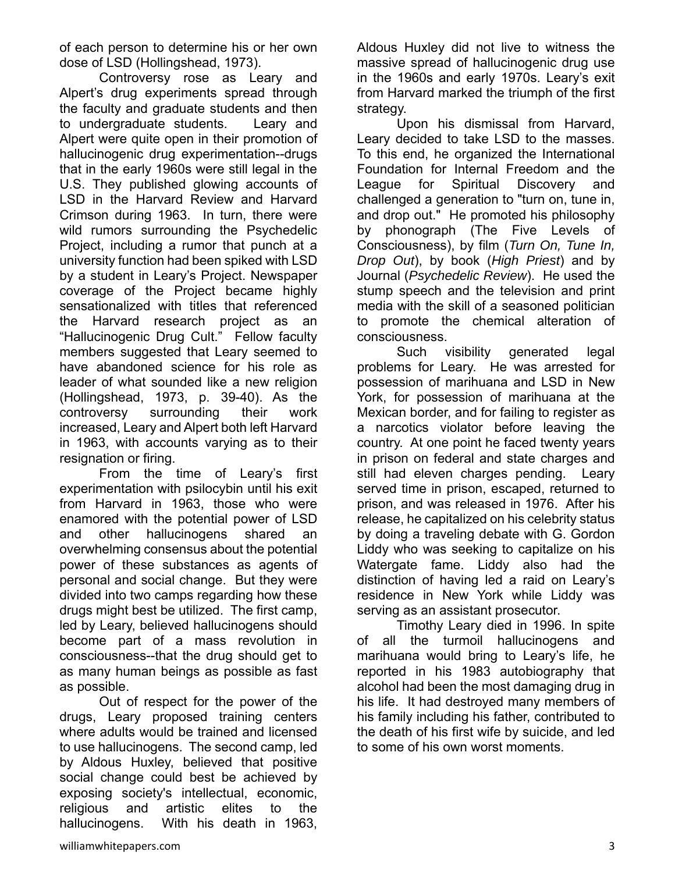of each person to determine his or her own dose of LSD (Hollingshead, 1973).

 Controversy rose as Leary and Alpert's drug experiments spread through the faculty and graduate students and then to undergraduate students. Leary and Alpert were quite open in their promotion of hallucinogenic drug experimentation--drugs that in the early 1960s were still legal in the U.S. They published glowing accounts of LSD in the Harvard Review and Harvard Crimson during 1963. In turn, there were wild rumors surrounding the Psychedelic Project, including a rumor that punch at a university function had been spiked with LSD by a student in Leary's Project. Newspaper coverage of the Project became highly sensationalized with titles that referenced the Harvard research project as an "Hallucinogenic Drug Cult." Fellow faculty members suggested that Leary seemed to have abandoned science for his role as leader of what sounded like a new religion (Hollingshead, 1973, p. 39-40). As the controversy surrounding their work increased, Leary and Alpert both left Harvard in 1963, with accounts varying as to their resignation or firing.

From the time of Leary's first experimentation with psilocybin until his exit from Harvard in 1963, those who were enamored with the potential power of LSD and other hallucinogens shared an overwhelming consensus about the potential power of these substances as agents of personal and social change. But they were divided into two camps regarding how these drugs might best be utilized. The first camp, led by Leary, believed hallucinogens should become part of a mass revolution in consciousness--that the drug should get to as many human beings as possible as fast as possible.

Out of respect for the power of the drugs, Leary proposed training centers where adults would be trained and licensed to use hallucinogens. The second camp, led by Aldous Huxley, believed that positive social change could best be achieved by exposing society's intellectual, economic, religious and artistic elites to the hallucinogens. With his death in 1963,

Aldous Huxley did not live to witness the massive spread of hallucinogenic drug use in the 1960s and early 1970s. Leary's exit from Harvard marked the triumph of the first strategy.

Upon his dismissal from Harvard, Leary decided to take LSD to the masses. To this end, he organized the International Foundation for Internal Freedom and the League for Spiritual Discovery and challenged a generation to "turn on, tune in, and drop out." He promoted his philosophy by phonograph (The Five Levels of Consciousness), by film (*Turn On, Tune In, Drop Out*), by book (*High Priest*) and by Journal (*Psychedelic Review*). He used the stump speech and the television and print media with the skill of a seasoned politician to promote the chemical alteration of consciousness.

Such visibility generated legal problems for Leary. He was arrested for possession of marihuana and LSD in New York, for possession of marihuana at the Mexican border, and for failing to register as a narcotics violator before leaving the country. At one point he faced twenty years in prison on federal and state charges and still had eleven charges pending. Leary served time in prison, escaped, returned to prison, and was released in 1976. After his release, he capitalized on his celebrity status by doing a traveling debate with G. Gordon Liddy who was seeking to capitalize on his Watergate fame. Liddy also had the distinction of having led a raid on Leary's residence in New York while Liddy was serving as an assistant prosecutor.

Timothy Leary died in 1996. In spite of all the turmoil hallucinogens and marihuana would bring to Leary's life, he reported in his 1983 autobiography that alcohol had been the most damaging drug in his life. It had destroyed many members of his family including his father, contributed to the death of his first wife by suicide, and led to some of his own worst moments.